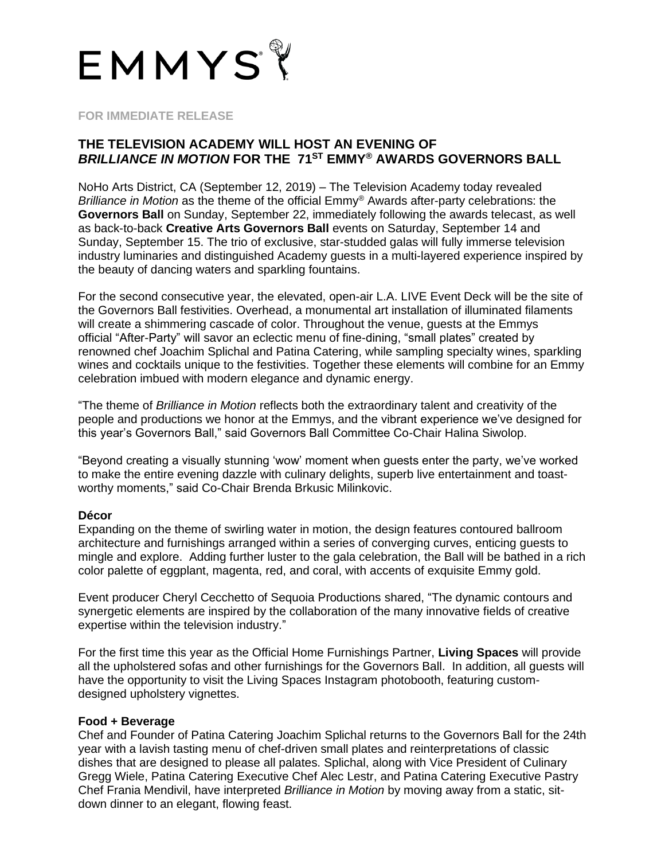

## **FOR IMMEDIATE RELEASE**

## **THE TELEVISION ACADEMY WILL HOST AN EVENING OF** *BRILLIANCE IN MOTION* **FOR THE 71ST EMMY® AWARDS GOVERNORS BALL**

NoHo Arts District, CA (September 12, 2019) – The Television Academy today revealed *Brilliance in Motion* as the theme of the official Emmy® Awards after-party celebrations: the **Governors Ball** on Sunday, September 22, immediately following the awards telecast, as well as back-to-back **Creative Arts Governors Ball** events on Saturday, September 14 and Sunday, September 15. The trio of exclusive, star-studded galas will fully immerse television industry luminaries and distinguished Academy guests in a multi-layered experience inspired by the beauty of dancing waters and sparkling fountains.

For the second consecutive year, the elevated, open-air L.A. LIVE Event Deck will be the site of the Governors Ball festivities. Overhead, a monumental art installation of illuminated filaments will create a shimmering cascade of color. Throughout the venue, guests at the Emmys official "After-Party" will savor an eclectic menu of fine-dining, "small plates" created by renowned chef Joachim Splichal and Patina Catering, while sampling specialty wines, sparkling wines and cocktails unique to the festivities. Together these elements will combine for an Emmy celebration imbued with modern elegance and dynamic energy.

"The theme of *Brilliance in Motion* reflects both the extraordinary talent and creativity of the people and productions we honor at the Emmys, and the vibrant experience we've designed for this year's Governors Ball," said Governors Ball Committee Co-Chair Halina Siwolop.

"Beyond creating a visually stunning 'wow' moment when guests enter the party, we've worked to make the entire evening dazzle with culinary delights, superb live entertainment and toastworthy moments," said Co-Chair Brenda Brkusic Milinkovic.

## **Décor**

Expanding on the theme of swirling water in motion, the design features contoured ballroom architecture and furnishings arranged within a series of converging curves, enticing guests to mingle and explore. Adding further luster to the gala celebration, the Ball will be bathed in a rich color palette of eggplant, magenta, red, and coral, with accents of exquisite Emmy gold.

Event producer Cheryl Cecchetto of Sequoia Productions shared, "The dynamic contours and synergetic elements are inspired by the collaboration of the many innovative fields of creative expertise within the television industry."

For the first time this year as the Official Home Furnishings Partner, **Living Spaces** will provide all the upholstered sofas and other furnishings for the Governors Ball. In addition, all guests will have the opportunity to visit the Living Spaces Instagram photobooth, featuring customdesigned upholstery vignettes.

## **Food + Beverage**

Chef and Founder of Patina Catering Joachim Splichal returns to the Governors Ball for the 24th year with a lavish tasting menu of chef-driven small plates and reinterpretations of classic dishes that are designed to please all palates. Splichal, along with Vice President of Culinary Gregg Wiele, Patina Catering Executive Chef Alec Lestr, and Patina Catering Executive Pastry Chef Frania Mendivil, have interpreted *Brilliance in Motion* by moving away from a static, sitdown dinner to an elegant, flowing feast.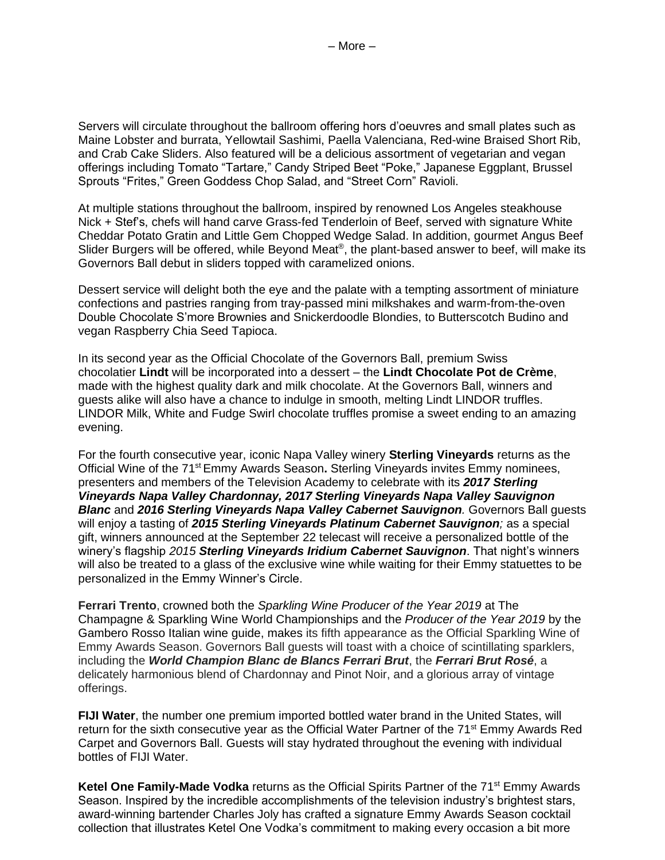Servers will circulate throughout the ballroom offering hors d'oeuvres and small plates such as Maine Lobster and burrata, Yellowtail Sashimi, Paella Valenciana, Red-wine Braised Short Rib, and Crab Cake Sliders. Also featured will be a delicious assortment of vegetarian and vegan offerings including Tomato "Tartare," Candy Striped Beet "Poke," Japanese Eggplant, Brussel Sprouts "Frites," Green Goddess Chop Salad, and "Street Corn" Ravioli.

At multiple stations throughout the ballroom, inspired by renowned Los Angeles steakhouse Nick + Stef's, chefs will hand carve Grass-fed Tenderloin of Beef, served with signature White Cheddar Potato Gratin and Little Gem Chopped Wedge Salad. In addition, gourmet Angus Beef Slider Burgers will be offered, while Beyond Meat®, the plant-based answer to beef, will make its Governors Ball debut in sliders topped with caramelized onions.

Dessert service will delight both the eye and the palate with a tempting assortment of miniature confections and pastries ranging from tray-passed mini milkshakes and warm-from-the-oven Double Chocolate S'more Brownies and Snickerdoodle Blondies, to Butterscotch Budino and vegan Raspberry Chia Seed Tapioca.

In its second year as the Official Chocolate of the Governors Ball, premium Swiss chocolatier **Lindt** will be incorporated into a dessert – the **Lindt Chocolate Pot de Crème**, made with the highest quality dark and milk chocolate. At the Governors Ball, winners and guests alike will also have a chance to indulge in smooth, melting Lindt LINDOR truffles. LINDOR Milk, White and Fudge Swirl chocolate truffles promise a sweet ending to an amazing evening.

For the fourth consecutive year, iconic Napa Valley winery **Sterling Vineyards** returns as the Official Wine of the 71st Emmy Awards Season**.** Sterling Vineyards invites Emmy nominees, presenters and members of the Television Academy to celebrate with its *2017 Sterling Vineyards Napa Valley Chardonnay, 2017 Sterling Vineyards Napa Valley Sauvignon Blanc* and *2016 Sterling Vineyards Napa Valley Cabernet Sauvignon.* Governors Ball guests will enjoy a tasting of *2015 Sterling Vineyards Platinum Cabernet Sauvignon;* as a special gift, winners announced at the September 22 telecast will receive a personalized bottle of the winery's flagship *2015 Sterling Vineyards Iridium Cabernet Sauvignon*. That night's winners will also be treated to a glass of the exclusive wine while waiting for their Emmy statuettes to be personalized in the Emmy Winner's Circle.

**Ferrari Trento**, crowned both the *Sparkling Wine Producer of the Year 2019* at The Champagne & Sparkling Wine World Championships and the *Producer of the Year 2019* by the Gambero Rosso Italian wine guide, makes its fifth appearance as the Official Sparkling Wine of Emmy Awards Season. Governors Ball guests will toast with a choice of scintillating sparklers, including the *World Champion Blanc de Blancs Ferrari Brut*, the *Ferrari Brut Rosé*, a delicately harmonious blend of Chardonnay and Pinot Noir, and a glorious array of vintage offerings.

**FIJI Water**, the number one premium imported bottled water brand in the United States, will return for the sixth consecutive year as the Official Water Partner of the 71<sup>st</sup> Emmy Awards Red Carpet and Governors Ball. Guests will stay hydrated throughout the evening with individual bottles of FIJI Water.

**Ketel One Family-Made Vodka** returns as the Official Spirits Partner of the 71<sup>st</sup> Emmy Awards Season. Inspired by the incredible accomplishments of the television industry's brightest stars, award-winning bartender Charles Joly has crafted a signature Emmy Awards Season cocktail collection that illustrates Ketel One Vodka's commitment to making every occasion a bit more